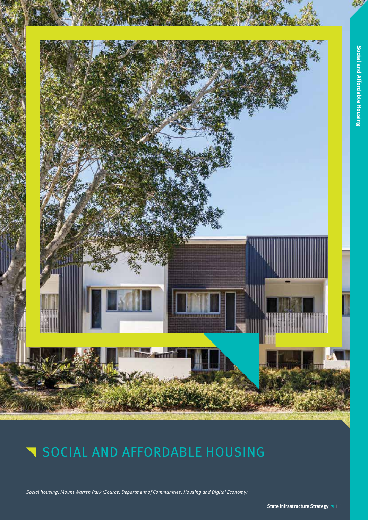

Social housing, Mount Warren Park (Source: Department of Communities, Housing and Digital Economy)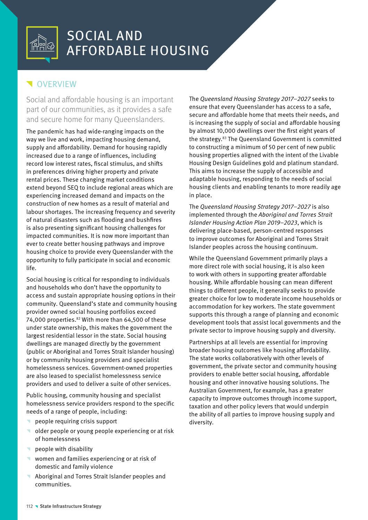## **VERVIEW**

Social and affordable housing is an important part of our communities, as it provides a safe and secure home for many Queenslanders.

The pandemic has had wide-ranging impacts on the way we live and work, impacting housing demand, supply and affordability. Demand for housing rapidly increased due to a range of influences, including record low interest rates, fiscal stimulus, and shifts in preferences driving higher property and private rental prices. These changing market conditions extend beyond SEQ to include regional areas which are experiencing increased demand and impacts on the construction of new homes as a result of material and labour shortages. The increasing frequency and severity of natural disasters such as flooding and bushfires is also presenting significant housing challenges for impacted communities. It is now more important than ever to create better housing pathways and improve housing choice to provide every Queenslander with the opportunity to fully participate in social and economic life.

Social housing is critical for responding to individuals and households who don't have the opportunity to access and sustain appropriate housing options in their community. Queensland's state and community housing provider owned social housing portfolios exceed 74,000 properties.<sup>82</sup> With more than 64,500 of these under state ownership, this makes the government the largest residential lessor in the state. Social housing dwellings are managed directly by the government (public or Aboriginal and Torres Strait Islander housing) or by community housing providers and specialist homelessness services. Government-owned properties are also leased to specialist homelessness service providers and used to deliver a suite of other services.

Public housing, community housing and specialist homelessness service providers respond to the specific needs of a range of people, including:

- ^ people requiring crisis support
- older people or young people experiencing or at risk of homelessness
- people with disability
- women and families experiencing or at risk of domestic and family violence
- ^ Aboriginal and Torres Strait Islander peoples and communities.

The Queensland Housing Strategy 2017–2027 seeks to ensure that every Queenslander has access to a safe, secure and affordable home that meets their needs, and is increasing the supply of social and affordable housing by almost 10,000 dwellings over the first eight years of the strategy.83 The Queensland Government is committed to constructing a minimum of 50 per cent of new public housing properties aligned with the intent of the Livable Housing Design Guidelines gold and platinum standard. This aims to increase the supply of accessible and adaptable housing, responding to the needs of social housing clients and enabling tenants to more readily age in place.

The Queensland Housing Strategy 2017–2027 is also implemented through the Aboriginal and Torres Strait Islander Housing Action Plan 2019–2023, which is delivering place-based, person-centred responses to improve outcomes for Aboriginal and Torres Strait Islander peoples across the housing continuum.

While the Queensland Government primarily plays a more direct role with social housing, it is also keen to work with others in supporting greater affordable housing. While affordable housing can mean different things to different people, it generally seeks to provide greater choice for low to moderate income households or accommodation for key workers. The state government supports this through a range of planning and economic development tools that assist local governments and the private sector to improve housing supply and diversity.

Partnerships at all levels are essential for improving broader housing outcomes like housing affordability. The state works collaboratively with other levels of government, the private sector and community housing providers to enable better social housing, affordable housing and other innovative housing solutions. The Australian Government, for example, has a greater capacity to improve outcomes through income support, taxation and other policy levers that would underpin the ability of all parties to improve housing supply and diversity.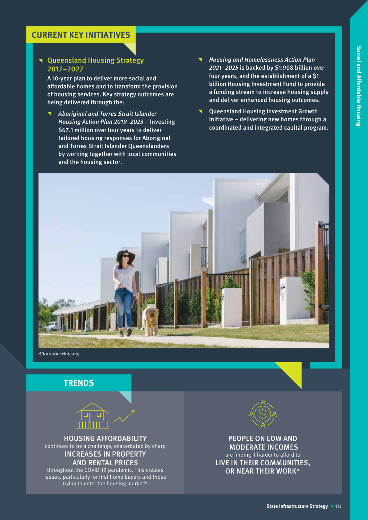### **CURRENT KEY INITIATIVES**

### **T** Queensland Housing Strategy 2017–2027

A 10-year plan to deliver more social and affordable homes and to transform the provision of housing services. Key strategy outcomes are being delivered through the:

- ^ Aboriginal and Torres Strait Islander Housing Action Plan 2019–2023 – Investing \$67.1 million over four years to deliver tailored housing responses for Aboriginal and Torres Strait Islander Queenslanders by working together with local communities and the housing sector.
- ^ Housing and Homelessness Action Plan 2021–2025 is backed by \$1.908 billion over four years, and the establishment of a \$1 billion Housing Investment Fund to provide a funding stream to increase housing supply and deliver enhanced housing outcomes.
- ^ Queensland Housing Investment Growth Initiative – delivering new homes through a coordinated and integrated capital program.



Affordable Housing





HOUSING AFFORDABILITY continues to be a challenge, exacerbated by sharp INCREASES IN PROPERTY

### AND RENTAL PRICES

throughout the COVID-19 pandemic. This creates issues, particularly for first home buyers and those trying to enter the housing market<sup>84</sup>



PEOPLE ON LOW AND MODERATE INCOMES are finding it harder to afford to LIVE IN THEIR COMMUNITIES, OR NEAR THEIR WORK<sup>85</sup>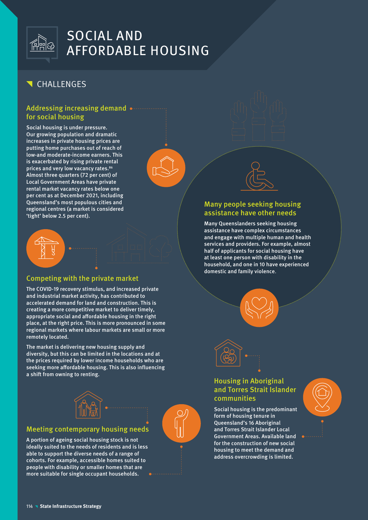

## **T** CHALLENGES

### Addressing increasing demand  $\bullet$ for social housing

Social housing is under pressure. Our growing population and dramatic increases in private housing prices are putting home purchases out of reach of low-and moderate-income earners. This is exacerbated by rising private rental prices and very low vacancy rates.<sup>86</sup> Almost three quarters (72 per cent) of Local Government Areas have private rental market vacancy rates below one per cent as at December 2021, including Queensland's most populous cities and regional centres (a market is considered 'tight' below 2.5 per cent).



### Competing with the private market

The COVID-19 recovery stimulus, and increased private and industrial market activity, has contributed to accelerated demand for land and construction. This is creating a more competitive market to deliver timely, appropriate social and affordable housing in the right place, at the right price. This is more pronounced in some regional markets where labour markets are small or more remotely located.

The market is delivering new housing supply and diversity, but this can be limited in the locations and at the prices required by lower income households who are seeking more affordable housing. This is also influencing a shift from owning to renting.



### Meeting contemporary housing needs

A portion of ageing social housing stock is not ideally suited to the needs of residents and is less able to support the diverse needs of a range of cohorts. For example, accessible homes suited to people with disability or smaller homes that are more suitable for single occupant households.







### Many people seeking housing assistance have other needs

Many Queenslanders seeking housing assistance have complex circumstances and engage with multiple human and health services and providers. For example, almost half of applicants for social housing have at least one person with disability in the household, and one in 10 have experienced domestic and family violence.





### Housing in Aboriginal and Torres Strait Islander communities

Social housing is the predominant form of housing tenure in Queensland's 16 Aboriginal and Torres Strait Islander Local Government Areas. Available land for the construction of new social housing to meet the demand and address overcrowding is limited.

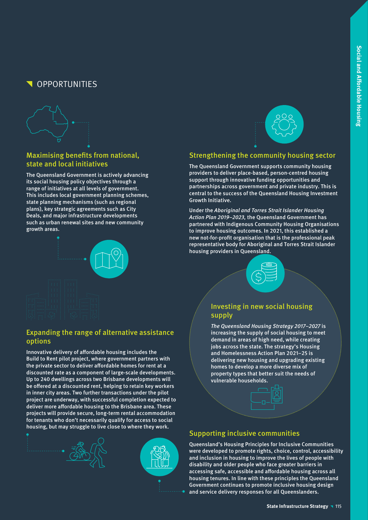# OPPORTUNITIES



### Maximising benefits from national, state and local initiatives

The Queensland Government is actively advancing its social housing policy objectives through a range of initiatives at all levels of government. This includes local government planning schemes, state planning mechanisms (such as regional plans), key strategic agreements such as City Deals, and major infrastructure developments such as urban renewal sites and new community growth areas.



### Expanding the range of alternative assistance options

Innovative delivery of affordable housing includes the Build to Rent pilot project, where government partners with the private sector to deliver affordable homes for rent at a discounted rate as a component of large-scale developments. Up to 240 dwellings across two Brisbane developments will be offered at a discounted rent, helping to retain key workers in inner city areas. Two further transactions under the pilot project are underway, with successful completion expected to deliver more affordable housing to the Brisbane area. These projects will provide secure, long-term rental accommodation for tenants who don't necessarily qualify for access to social housing, but may struggle to live close to where they work.





Growth Initiative.



Strengthening the community housing sector The Queensland Government supports community housing providers to deliver place-based, person-centred housing support through innovative funding opportunities and partnerships across government and private industry. This is central to the success of the Queensland Housing Investment

### Investing in new social housing supply

The Queensland Housing Strategy 2017–2027 is increasing the supply of social housing to meet demand in areas of high need, while creating jobs across the state. The strategy's Housing and Homelessness Action Plan 2021–25 is delivering new housing and upgrading existing homes to develop a more diverse mix of property types that better suit the needs of vulnerable households.

### Supporting inclusive communities

Queensland's Housing Principles for Inclusive Communities were developed to promote rights, choice, control, accessibility and inclusion in housing to improve the lives of people with disability and older people who face greater barriers in accessing safe, accessible and affordable housing across all housing tenures. In line with these principles the Queensland Government continues to promote inclusive housing design and service delivery responses for all Queenslanders.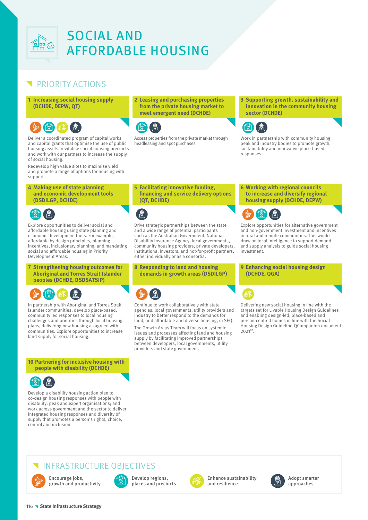

## PRIORITY ACTIONS

### **1** Increasing social housing supply **(DCHDE, DEPW, QT)**



Deliver a coordinated program of capital works and capital grants that optimise the use of public housing assets, revitalise social housing precincts and work with our partners to increase the supply of social housing.

Redevelop high value sites to maximise yield and promote a range of options for housing with support.

### **4 Making use of state planning and economic development tools (DSDILGP, DCHDE)**



Explore opportunities to deliver social and affordable housing using state planning and economic development tools. For example, affordable by design principles, planning incentives, inclusionary planning, and mandating social and affordable housing in Priority Development Areas.

**7 Strengthening housing outcomes for Aboriginal and Torres Strait Islander peoples (DCHDE, DSDSATSIP)**

In partnership with Aboriginal and Torres Strait Islander communities, develop place-based, community led responses to local housing challenges and priorities through local housing plans, delivering new housing as agreed with communities. Explore opportunities to increase land supply for social housing.

### **10 Partnering for inclusive housing with people with disability (DCHDE)**



Develop a disability housing action plan to co-design housing responses with people with disability, peak and expert organisations; and work across government and the sector to deliver integrated housing responses and diversity of supply that promotes a person's rights, choice, control and inclusion.

**2 Leasing and purchasing properties from the private housing market to meet emergent need (DCHDE)**



Access properties from the private market through headleasing and spot purchases.

**3 Supporting growth, sustainability and innovation in the community housing sector (DCHDE)**



Work in partnership with community housing peak and industry bodies to promote growth, sustainability and innovative place-based responses.

**5 Facilitating innovative funding, financing and service delivery options (QT, DCHDE)**



Drive strategic partnerships between the state and a wide range of potential participants such as the Australian Government, National Disability Insurance Agency, local governments, community housing providers, private developers, institutional investors, and not-for-profit partners, either individually or as a consortia.

**8 Responding to land and housing demands in growth areas (DSDILGP)**

Continue to work collaboratively with state agencies, local governments, utility providers and industry to better respond to the demands for land, and affordable and diverse housing, in SEQ.

The Growth Areas Team will focus on systemic issues and processes affecting land and housing supply by facilitating improved partnerships between developers, local governments, utility providers and state government.

### **6 Working with regional councils to increase and diversify regional housing supply (DCHDE, DEPW)**



Explore opportunities for alternative government and non-government investment and incentives in rural and remote communities. This would draw on local intelligence to support demand and supply analysis to guide social housing investment.

### **9 Enhancing social housing design (DCHDE, QGA)**

Delivering new social housing in line with the targets set for Livable Housing Design Guidelines and enabling design-led, place-based and person-centred homes in line with the Social Housing Design Guideline-QCompanion document 202187.

## INFRASTRUCTURE OBJECTIVES



Encourage jobs, growth and productivity



Develop regions, places and precincts



Enhance sustainability and resilience



Adopt smarter approaches